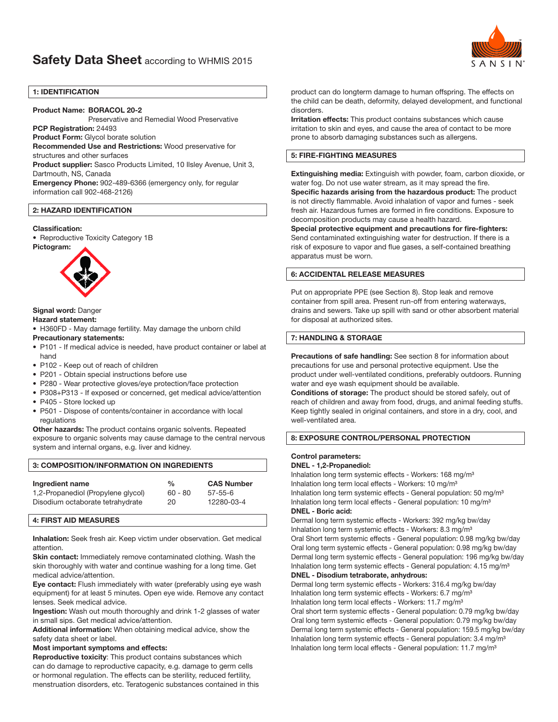## **Safety Data Sheet** according to WHMIS 2015



## 1: IDENTIFICATION

## Product Name: BORACOL 20-2

Preservative and Remedial Wood Preservative

PCP Registration: 24493

Product Form: Glycol borate solution

Recommended Use and Restrictions: Wood preservative for structures and other surfaces

Product supplier: Sasco Products Limited, 10 Ilsley Avenue, Unit 3, Dartmouth, NS, Canada

Emergency Phone: 902-489-6366 (emergency only, for regular information call 902-468-2126)

## 2: HAZARD IDENTIFICATION

#### Classification:

• Reproductive Toxicity Category 1B Pictogram:



## Signal word: Danger

## Hazard statement:

• H360FD - May damage fertility. May damage the unborn child

#### Precautionary statements:

- P101 If medical advice is needed, have product container or label at hand
- P102 Keep out of reach of children
- P201 Obtain special instructions before use
- P280 Wear protective gloves/eye protection/face protection
- P308+P313 If exposed or concerned, get medical advice/attention
- P405 Store locked up
- P501 Dispose of contents/container in accordance with local regulations

Other hazards: The product contains organic solvents. Repeated exposure to organic solvents may cause damage to the central nervous system and internal organs, e.g. liver and kidney.

## 3: COMPOSITION/INFORMATION ON INGREDIENTS Ingredient name % CAS Number 1,2-Propanediol (Propylene glycol) 60 - 80 57-55-6

# Disodium octaborate tetrahydrate 20 12280-03-4

## 4: FIRST AID MEASURES

Inhalation: Seek fresh air. Keep victim under observation. Get medical attention.

Skin contact: Immediately remove contaminated clothing. Wash the skin thoroughly with water and continue washing for a long time. Get medical advice/attention.

Eye contact: Flush immediately with water (preferably using eye wash equipment) for at least 5 minutes. Open eye wide. Remove any contact lenses. Seek medical advice.

Ingestion: Wash out mouth thoroughly and drink 1-2 glasses of water in small sips. Get medical advice/attention.

Additional information: When obtaining medical advice, show the safety data sheet or label.

## Most important symptoms and effects:

Reproductive toxicity: This product contains substances which can do damage to reproductive capacity, e.g. damage to germ cells or hormonal regulation. The effects can be sterility, reduced fertility, menstruation disorders, etc. Teratogenic substances contained in this product can do longterm damage to human offspring. The effects on the child can be death, deformity, delayed development, and functional disorders.

Irritation effects: This product contains substances which cause irritation to skin and eyes, and cause the area of contact to be more prone to absorb damaging substances such as allergens.

## 5: FIRE-FIGHTING MEASURES

Extinguishing media: Extinguish with powder, foam, carbon dioxide, or water fog. Do not use water stream, as it may spread the fire. Specific hazards arising from the hazardous product: The product is not directly flammable. Avoid inhalation of vapor and fumes - seek fresh air. Hazardous fumes are formed in fire conditions. Exposure to decomposition products may cause a health hazard.

Special protective equipment and precautions for fire-fighters: Send contaminated extinguishing water for destruction. If there is a risk of exposure to vapor and flue gases, a self-contained breathing apparatus must be worn.

## 6: ACCIDENTAL RELEASE MEASURES

Put on appropriate PPE (see Section 8). Stop leak and remove container from spill area. Present run-off from entering waterways, drains and sewers. Take up spill with sand or other absorbent material for disposal at authorized sites.

## 7: HANDLING & STORAGE

Precautions of safe handling: See section 8 for information about precautions for use and personal protective equipment. Use the product under well-ventilated conditions, preferably outdoors. Running water and eye wash equipment should be available.

Conditions of storage: The product should be stored safely, out of reach of children and away from food, drugs, and animal feeding stuffs. Keep tightly sealed in original containers, and store in a dry, cool, and well-ventilated area.

## 8: EXPOSURE CONTROL/PERSONAL PROTECTION

## Control parameters:

#### DNEL - 1,2-Propanediol:

Inhalation long term systemic effects - Workers: 168 mg/m<sup>3</sup> Inhalation long term local effects - Workers: 10 mg/m<sup>3</sup> Inhalation long term systemic effects - General population: 50 mg/m<sup>3</sup> Inhalation long term local effects - General population: 10 mg/m<sup>3</sup> DNEL - Boric acid:

Dermal long term systemic effects - Workers: 392 mg/kg bw/day Inhalation long term systemic effects - Workers: 8.3 mg/m<sup>3</sup> Oral Short term systemic effects - General population: 0.98 mg/kg bw/day Oral long term systemic effects - General population: 0.98 mg/kg bw/day Dermal long term systemic effects - General population: 196 mg/kg bw/day Inhalation long term systemic effects - General population: 4.15 mg/m<sup>3</sup> DNEL - Disodium tetraborate, anhydrous:

Dermal long term systemic effects - Workers: 316.4 mg/kg bw/day Inhalation long term systemic effects - Workers: 6.7 mg/m<sup>3</sup> Inhalation long term local effects - Workers: 11.7 mg/m<sup>3</sup> Oral short term systemic effects - General population: 0.79 mg/kg bw/day Oral long term systemic effects - General population: 0.79 mg/kg bw/day Dermal long term systemic effects - General population: 159.5 mg/kg bw/day Inhalation long term systemic effects - General population: 3.4 mg/m<sup>3</sup> Inhalation long term local effects - General population: 11.7 mg/m<sup>3</sup>